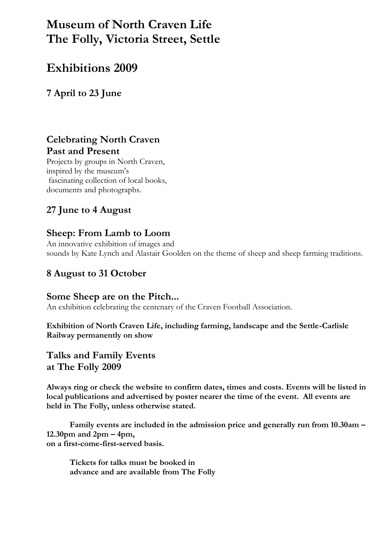# **Museum of North Craven Life The Folly, Victoria Street, Settle**

# **Exhibitions 2009**

**7 April to 23 June**

### **Celebrating North Craven Past and Present**

Projects by groups in North Craven, inspired by the museum's fascinating collection of local books, documents and photographs.

## **27 June to 4 August**

### **Sheep: From Lamb to Loom**

An innovative exhibition of images and sounds by Kate Lynch and Alastair Goolden on the theme of sheep and sheep farming traditions.

### **8 August to 31 October**

### **Some Sheep are on the Pitch...**

An exhibition celebrating the centenary of the Craven Football Association.

**Exhibition of North Craven Life, including farming, landscape and the Settle-Carlisle Railway permanently on show**

### **Talks and Family Events at The Folly 2009**

**Always ring or check the website to confirm dates, times and costs. Events will be listed in local publications and advertised by poster nearer the time of the event. All events are held in The Folly, unless otherwise stated.**

**Family events are included in the admission price and generally run from 10.30am – 12.30pm and 2pm – 4pm, on a first-come-first-served basis.**

**Tickets for talks must be booked in advance and are available from The Folly**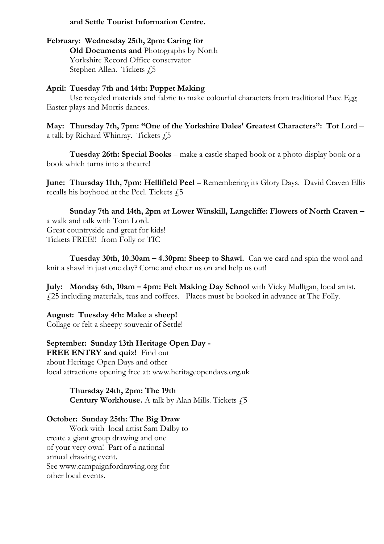#### **and Settle Tourist Information Centre.**

#### **February: Wednesday 25th, 2pm: Caring for**

**Old Documents and** Photographs by North Yorkshire Record Office conservator Stephen Allen. Tickets  $f$ , 5

#### **April: Tuesday 7th and 14th: Puppet Making**

Use recycled materials and fabric to make colourful characters from traditional Pace Egg Easter plays and Morris dances.

**May: Thursday 7th, 7pm: "One of the Yorkshire Dales' Greatest Characters": Tot** Lord – a talk by Richard Whinray. Tickets  $f$ , 5

**Tuesday 26th: Special Books** – make a castle shaped book or a photo display book or a book which turns into a theatre!

June: Thursday 11th, 7pm: Hellifield Peel - Remembering its Glory Days. David Craven Ellis recalls his boyhood at the Peel. Tickets  $f$ 5

**Sunday 7th and 14th, 2pm at Lower Winskill, Langcliffe: Flowers of North Craven –** a walk and talk with Tom Lord. Great countryside and great for kids! Tickets FREE!! from Folly or TIC

**Tuesday 30th, 10.30am – 4.30pm: Sheep to Shawl.** Can we card and spin the wool and knit a shawl in just one day? Come and cheer us on and help us out!

**July: Monday 6th, 10am – 4pm: Felt Making Day School** with Vicky Mulligan, local artist. £25 including materials, teas and coffees. Places must be booked in advance at The Folly.

**August: Tuesday 4th: Make a sheep!** 

Collage or felt a sheepy souvenir of Settle!

**September: Sunday 13th Heritage Open Day - FREE ENTRY and quiz!** Find out about Heritage Open Days and other local attractions opening free at: www.heritageopendays.org.uk

> **Thursday 24th, 2pm: The 19th Century Workhouse.** A talk by Alan Mills. Tickets  $f<sub>i</sub>5$

#### **October: Sunday 25th: The Big Draw**

Work with local artist Sam Dalby to create a giant group drawing and one of your very own! Part of a national annual drawing event. See www.campaignfordrawing.org for other local events.